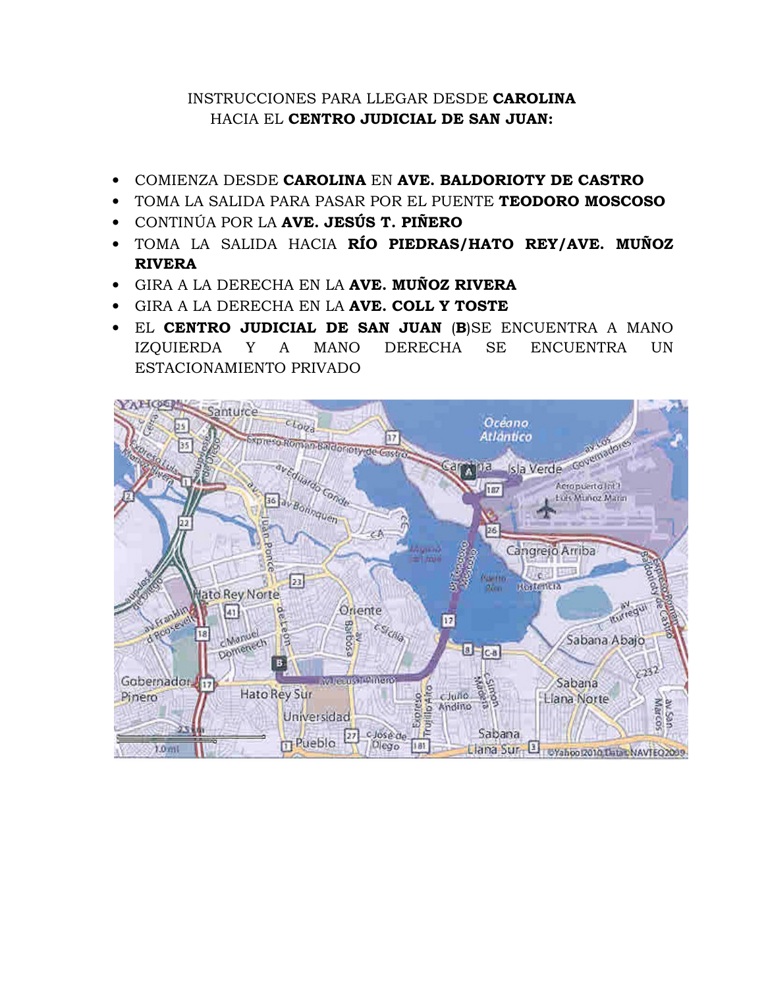## INSTRUCCIONES PARA LLEGAR DESDE CAROLINA HACIA EL CENTRO JUDICIAL DE SAN JUAN:

- COMIENZA DESDE CAROLINA EN AVE. BALDORIOTY DE CASTRO
- TOMA LA SALIDA PARA PASAR POR EL PUENTE TEODORO MOSCOSO
- CONTINÚA POR LA AVE. JESÚS T. PIÑERO
- TOMA LA SALIDA HACIA RÍO PIEDRAS/HATO REY/AVE. MUÑOZ RIVERA
- GIRA A LA DERECHA EN LA AVE. MUÑOZ RIVERA
- GIRA A LA DERECHA EN LA AVE. COLL Y TOSTE
- EL CENTRO JUDICIAL DE SAN JUAN (B)SE ENCUENTRA A MANO IZQUIERDA Y A MANO DERECHA SE ENCUENTRA UN ESTACIONAMIENTO PRIVADO

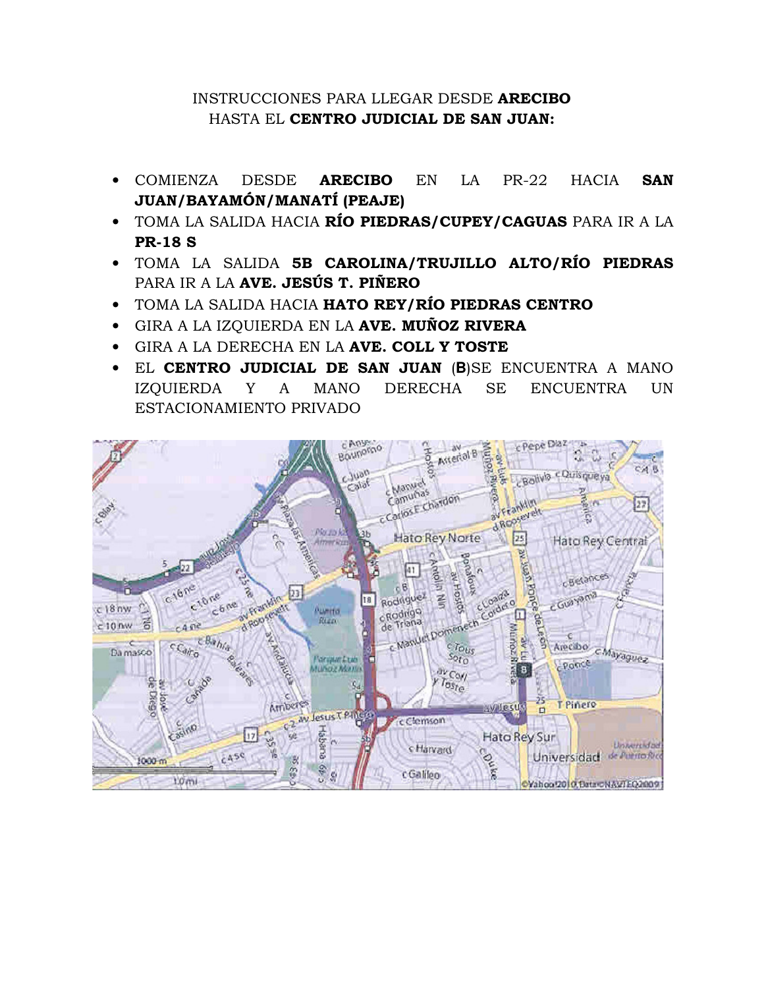## INSTRUCCIONES PARA LLEGAR DESDE ARECIBO HASTA EL CENTRO JUDICIAL DE SAN JUAN:

- COMIENZA DESDE ARECIBO EN LA PR-22 HACIA SAN JUAN/BAYAMÓN/MANATÍ (PEAJE)
- TOMA LA SALIDA HACIA RÍO PIEDRAS/CUPEY/CAGUAS PARA IR A LA PR-18 S
- TOMA LA SALIDA 5B CAROLINA/TRUJILLO ALTO/RÍO PIEDRAS PARA IR A LA AVE. JESÚS T. PIÑERO
- TOMA LA SALIDA HACIA HATO REY/RÍO PIEDRAS CENTRO
- GIRA A LA IZQUIERDA EN LA **AVE. MUÑOZ RIVERA**
- GIRA A LA DERECHA EN LA AVE. COLL Y TOSTE
- EL CENTRO JUDICIAL DE SAN JUAN (**B**)SE ENCUENTRA A MANO IZQUIERDA Y A MANO DERECHA SE ENCUENTRA UN ESTACIONAMIENTO PRIVADO